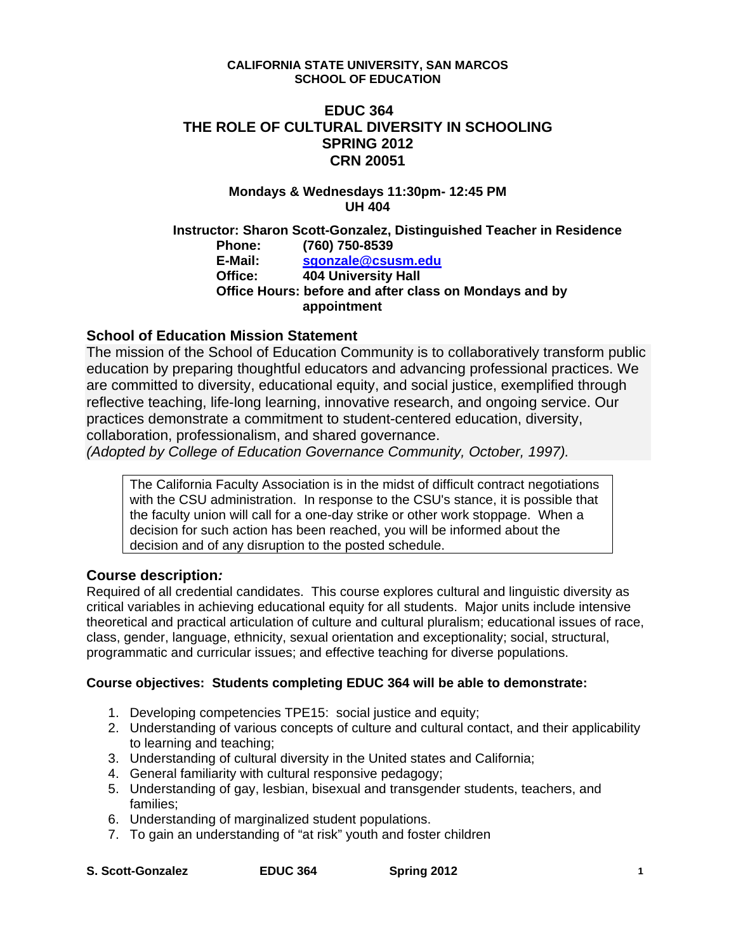#### **CALIFORNIA STATE UNIVERSITY, SAN MARCOS SCHOOL OF EDUCATION**

## **EDUC 364 THE ROLE OF CULTURAL DIVERSITY IN SCHOOLING SPRING 2012 CRN 20051**

#### **Mondays & Wednesdays 11:30pm- 12:45 PM UH 404**

 **Office Hours: before and after class on Mondays and by Instructor: Sharon Scott-Gonzalez, Distinguished Teacher in Residence Phone: (760) 750-8539 E-Mail: sgonzale@csusm.edu Office: 404 University Hall appointment** 

## **School of Education Mission Statement**

 collaboration, professionalism, and shared governance. The mission of the School of Education Community is to collaboratively transform public education by preparing thoughtful educators and advancing professional practices. We are committed to diversity, educational equity, and social justice, exemplified through reflective teaching, life-long learning, innovative research, and ongoing service. Our practices demonstrate a commitment to student-centered education, diversity,

*(Adopted by College of Education Governance Community, October, 1997).* 

The California Faculty Association is in the midst of difficult contract negotiations with the CSU administration. In response to the CSU's stance, it is possible that the faculty union will call for a one-day strike or other work stoppage. When a decision for such action has been reached, you will be informed about the decision and of any disruption to the posted schedule.

#### **Course description***:*

Required of all credential candidates. This course explores cultural and linguistic diversity as critical variables in achieving educational equity for all students. Major units include intensive theoretical and practical articulation of culture and cultural pluralism; educational issues of race, class, gender, language, ethnicity, sexual orientation and exceptionality; social, structural, programmatic and curricular issues; and effective teaching for diverse populations.

#### **Course objectives: Students completing EDUC 364 will be able to demonstrate:**

- 1. Developing competencies TPE15: social justice and equity;
- 2. Understanding of various concepts of culture and cultural contact, and their applicability to learning and teaching;
- 3. Understanding of cultural diversity in the United states and California;
- 4. General familiarity with cultural responsive pedagogy;
- 5. Understanding of gay, lesbian, bisexual and transgender students, teachers, and families;
- 6. Understanding of marginalized student populations.
- 7. To gain an understanding of "at risk" youth and foster children
- **S. Scott-Gonzalez EDUC 364 Spring 2012 1**

**EDUC 364**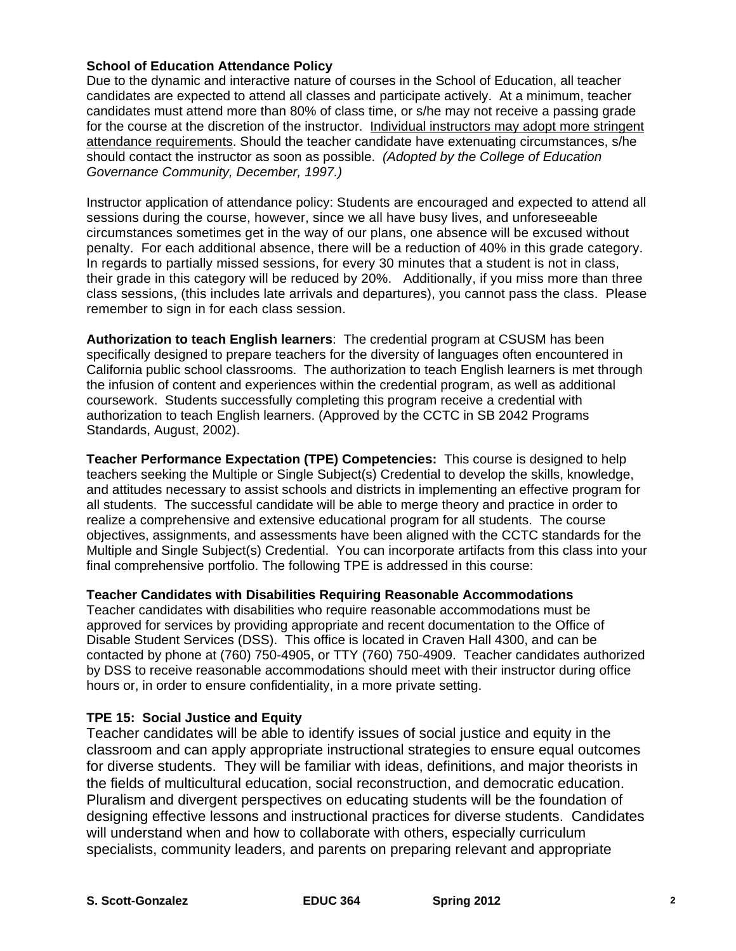#### **School of Education Attendance Policy**

 *Governance Community, December, 1997.)* Due to the dynamic and interactive nature of courses in the School of Education, all teacher candidates are expected to attend all classes and participate actively. At a minimum, teacher candidates must attend more than 80% of class time, or s/he may not receive a passing grade for the course at the discretion of the instructor. Individual instructors may adopt more stringent attendance requirements. Should the teacher candidate have extenuating circumstances, s/he should contact the instructor as soon as possible. *(Adopted by the College of Education* 

 Instructor application of attendance policy: Students are encouraged and expected to attend all sessions during the course, however, since we all have busy lives, and unforeseeable circumstances sometimes get in the way of our plans, one absence will be excused without penalty. For each additional absence, there will be a reduction of 40% in this grade category. remember to sign in for each class session. In regards to partially missed sessions, for every 30 minutes that a student is not in class, their grade in this category will be reduced by 20%. Additionally, if you miss more than three class sessions, (this includes late arrivals and departures), you cannot pass the class. Please

**Authorization to teach English learners**: The credential program at CSUSM has been specifically designed to prepare teachers for the diversity of languages often encountered in California public school classrooms. The authorization to teach English learners is met through the infusion of content and experiences within the credential program, as well as additional coursework. Students successfully completing this program receive a credential with authorization to teach English learners. (Approved by the CCTC in SB 2042 Programs Standards, August, 2002).

**Teacher Performance Expectation (TPE) Competencies:** This course is designed to help teachers seeking the Multiple or Single Subject(s) Credential to develop the skills, knowledge, and attitudes necessary to assist schools and districts in implementing an effective program for all students. The successful candidate will be able to merge theory and practice in order to realize a comprehensive and extensive educational program for all students. The course objectives, assignments, and assessments have been aligned with the CCTC standards for the Multiple and Single Subject(s) Credential. You can incorporate artifacts from this class into your final comprehensive portfolio. The following TPE is addressed in this course:

**Teacher Candidates with Disabilities Requiring Reasonable Accommodations** 

Teacher candidates with disabilities who require reasonable accommodations must be approved for services by providing appropriate and recent documentation to the Office of Disable Student Services (DSS). This office is located in Craven Hall 4300, and can be contacted by phone at (760) 750-4905, or TTY (760) 750-4909. Teacher candidates authorized by DSS to receive reasonable accommodations should meet with their instructor during office hours or, in order to ensure confidentiality, in a more private setting.

#### **TPE 15: Social Justice and Equity**

Teacher candidates will be able to identify issues of social justice and equity in the classroom and can apply appropriate instructional strategies to ensure equal outcomes for diverse students. They will be familiar with ideas, definitions, and major theorists in the fields of multicultural education, social reconstruction, and democratic education. Pluralism and divergent perspectives on educating students will be the foundation of designing effective lessons and instructional practices for diverse students. Candidates will understand when and how to collaborate with others, especially curriculum specialists, community leaders, and parents on preparing relevant and appropriate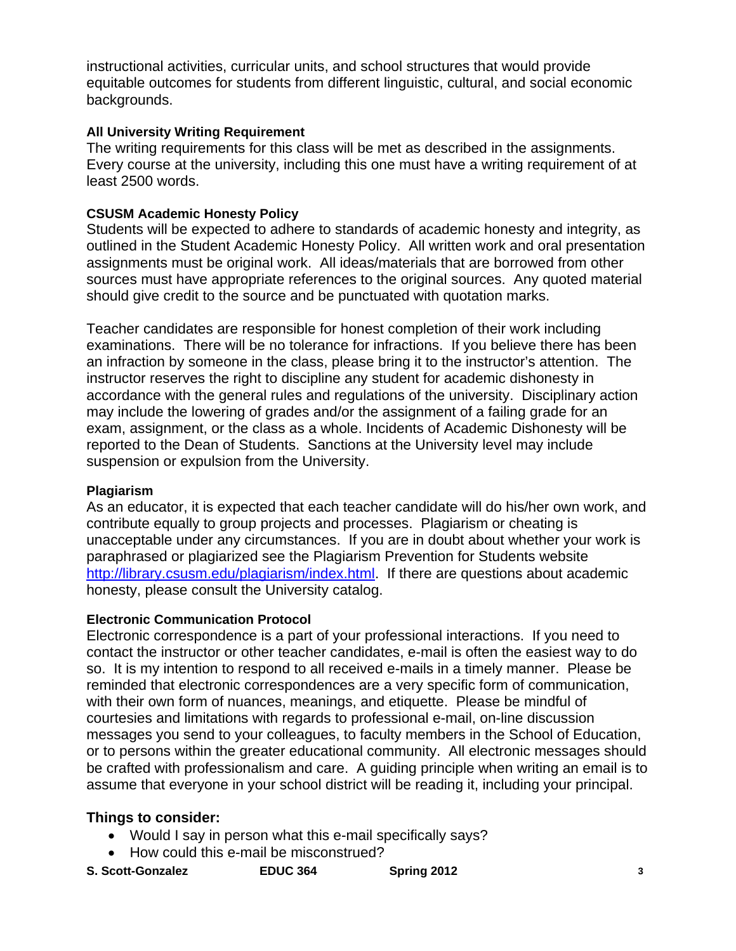instructional activities, curricular units, and school structures that would provide equitable outcomes for students from different linguistic, cultural, and social economic backgrounds.

## **All University Writing Requirement**

The writing requirements for this class will be met as described in the assignments. Every course at the university, including this one must have a writing requirement of at least 2500 words.

#### **CSUSM Academic Honesty Policy**

Students will be expected to adhere to standards of academic honesty and integrity, as outlined in the Student Academic Honesty Policy. All written work and oral presentation assignments must be original work. All ideas/materials that are borrowed from other sources must have appropriate references to the original sources. Any quoted material should give credit to the source and be punctuated with quotation marks.

Teacher candidates are responsible for honest completion of their work including examinations. There will be no tolerance for infractions. If you believe there has been an infraction by someone in the class, please bring it to the instructor's attention. The instructor reserves the right to discipline any student for academic dishonesty in accordance with the general rules and regulations of the university. Disciplinary action may include the lowering of grades and/or the assignment of a failing grade for an exam, assignment, or the class as a whole. Incidents of Academic Dishonesty will be reported to the Dean of Students. Sanctions at the University level may include suspension or expulsion from the University.

#### **Plagiarism**

As an educator, it is expected that each teacher candidate will do his/her own work, and contribute equally to group projects and processes. Plagiarism or cheating is unacceptable under any circumstances. If you are in doubt about whether your work is paraphrased or plagiarized see the Plagiarism Prevention for Students website http://library.csusm.edu/plagiarism/index.html. If there are questions about academic honesty, please consult the University catalog.

#### **Electronic Communication Protocol**

Electronic correspondence is a part of your professional interactions. If you need to contact the instructor or other teacher candidates, e-mail is often the easiest way to do so. It is my intention to respond to all received e-mails in a timely manner. Please be reminded that electronic correspondences are a very specific form of communication, with their own form of nuances, meanings, and etiquette. Please be mindful of courtesies and limitations with regards to professional e-mail, on-line discussion messages you send to your colleagues, to faculty members in the School of Education, or to persons within the greater educational community. All electronic messages should be crafted with professionalism and care. A guiding principle when writing an email is to assume that everyone in your school district will be reading it, including your principal.

#### **Things to consider:**

- Would I say in person what this e-mail specifically says?
- How could this e-mail be misconstrued?

| <b>S. Scott-Gonzalez</b> | <b>EDUC 364</b> | Spring 2012 |  |
|--------------------------|-----------------|-------------|--|
|--------------------------|-----------------|-------------|--|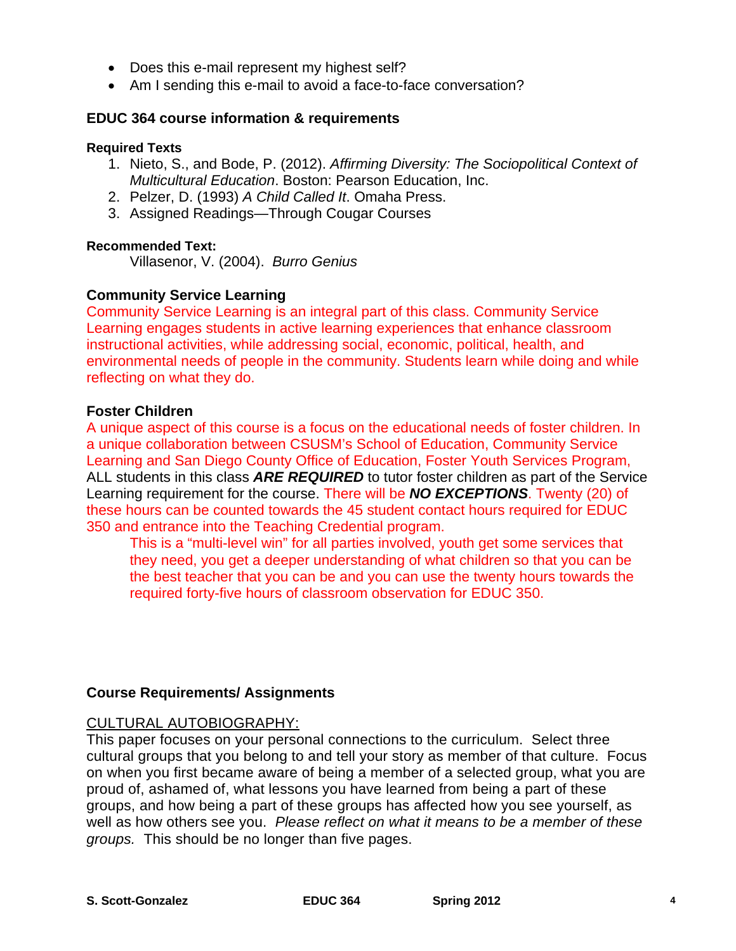- Does this e-mail represent my highest self?
- Am I sending this e-mail to avoid a face-to-face conversation?

## **EDUC 364 course information & requirements**

#### **Required Texts**

- 1. Nieto, S., and Bode, P. (2012). *Affirming Diversity: The Sociopolitical Context of Multicultural Education*. Boston: Pearson Education, Inc.
- 2. Pelzer, D. (1993) *A Child Called It*. Omaha Press.
- 3. Assigned Readings—Through Cougar Courses

## **Recommended Text:**

Villasenor, V. (2004). *Burro Genius* 

## **Community Service Learning**

Community Service Learning is an integral part of this class. Community Service Learning engages students in active learning experiences that enhance classroom instructional activities, while addressing social, economic, political, health, and environmental needs of people in the community. Students learn while doing and while reflecting on what they do.

#### **Foster Children**

A unique aspect of this course is a focus on the educational needs of foster children. In a unique collaboration between CSUSM's School of Education, Community Service Learning and San Diego County Office of Education, Foster Youth Services Program, ALL students in this class *ARE REQUIRED* to tutor foster children as part of the Service Learning requirement for the course. There will be *NO EXCEPTIONS*. Twenty (20) of these hours can be counted towards the 45 student contact hours required for EDUC 350 and entrance into the Teaching Credential program.

This is a "multi-level win" for all parties involved, youth get some services that they need, you get a deeper understanding of what children so that you can be the best teacher that you can be and you can use the twenty hours towards the required forty-five hours of classroom observation for EDUC 350.

## **Course Requirements/ Assignments**

## CULTURAL AUTOBIOGRAPHY:

This paper focuses on your personal connections to the curriculum. Select three cultural groups that you belong to and tell your story as member of that culture. Focus on when you first became aware of being a member of a selected group, what you are proud of, ashamed of, what lessons you have learned from being a part of these groups, and how being a part of these groups has affected how you see yourself, as well as how others see you. *Please reflect on what it means to be a member of these groups.* This should be no longer than five pages.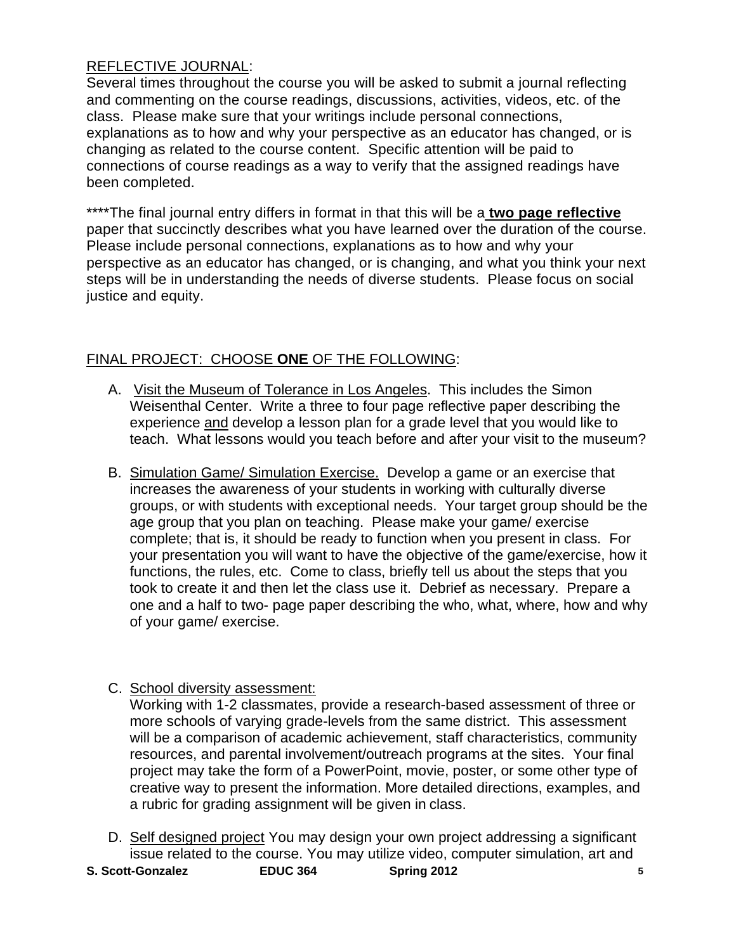## REFLECTIVE JOURNAL:

Several times throughout the course you will be asked to submit a journal reflecting and commenting on the course readings, discussions, activities, videos, etc. of the class. Please make sure that your writings include personal connections, explanations as to how and why your perspective as an educator has changed, or is changing as related to the course content. Specific attention will be paid to connections of course readings as a way to verify that the assigned readings have been completed.

\*\*\*\*The final journal entry differs in format in that this will be a **two page reflective**  paper that succinctly describes what you have learned over the duration of the course. Please include personal connections, explanations as to how and why your perspective as an educator has changed, or is changing, and what you think your next steps will be in understanding the needs of diverse students. Please focus on social justice and equity.

## FINAL PROJECT: CHOOSE **ONE** OF THE FOLLOWING:

- A. Visit the Museum of Tolerance in Los Angeles. This includes the Simon Weisenthal Center. Write a three to four page reflective paper describing the experience and develop a lesson plan for a grade level that you would like to teach. What lessons would you teach before and after your visit to the museum?
- B. Simulation Game/ Simulation Exercise. Develop a game or an exercise that increases the awareness of your students in working with culturally diverse groups, or with students with exceptional needs. Your target group should be the age group that you plan on teaching. Please make your game/ exercise complete; that is, it should be ready to function when you present in class. For your presentation you will want to have the objective of the game/exercise, how it functions, the rules, etc. Come to class, briefly tell us about the steps that you took to create it and then let the class use it. Debrief as necessary. Prepare a one and a half to two- page paper describing the who, what, where, how and why of your game/ exercise.
- C. School diversity assessment:

 a rubric for grading assignment will be given in class. Working with 1-2 classmates, provide a research-based assessment of three or more schools of varying grade-levels from the same district. This assessment will be a comparison of academic achievement, staff characteristics, community resources, and parental involvement/outreach programs at the sites. Your final project may take the form of a PowerPoint, movie, poster, or some other type of creative way to present the information. More detailed directions, examples, and

- D. Self designed project You may design your own project addressing a significant issue related to the course. You may utilize video, computer simulation, art and
- **EDUC 364 S. Scott-Gonzalez EDUC 364 Spring 2012 5**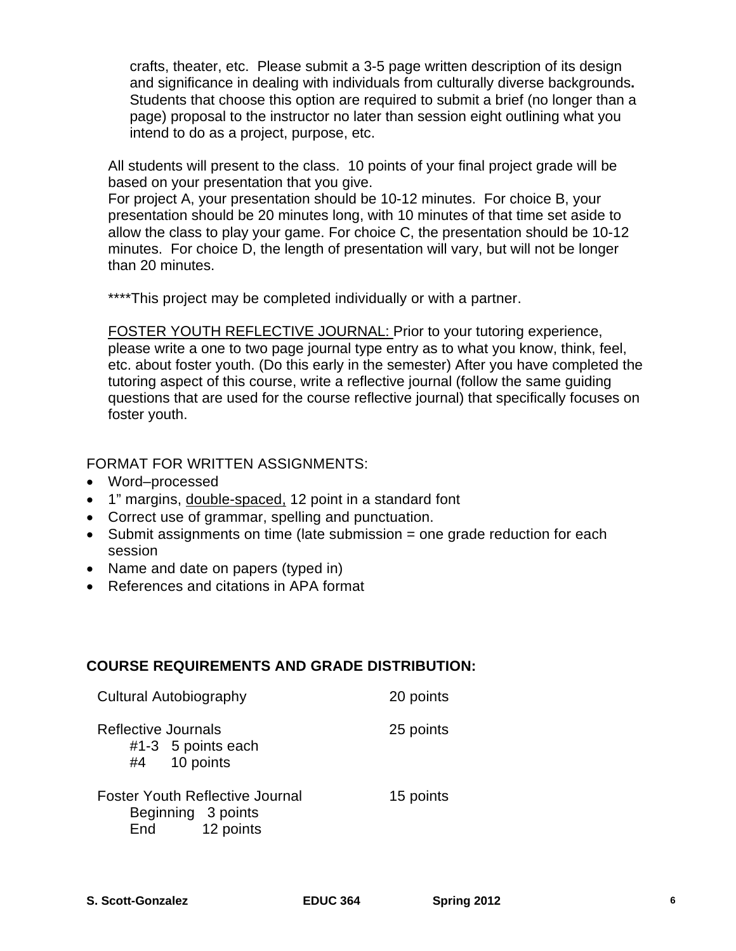crafts, theater, etc. Please submit a 3-5 page written description of its design and significance in dealing with individuals from culturally diverse backgrounds**.**  Students that choose this option are required to submit a brief (no longer than a page) proposal to the instructor no later than session eight outlining what you intend to do as a project, purpose, etc.

All students will present to the class. 10 points of your final project grade will be based on your presentation that you give.

For project A, your presentation should be 10-12 minutes. For choice B, your presentation should be 20 minutes long, with 10 minutes of that time set aside to allow the class to play your game. For choice C, the presentation should be 10-12 minutes. For choice D, the length of presentation will vary, but will not be longer than 20 minutes.

\*\*\*\*This project may be completed individually or with a partner.

FOSTER YOUTH REFLECTIVE JOURNAL: Prior to your tutoring experience, please write a one to two page journal type entry as to what you know, think, feel, etc. about foster youth. (Do this early in the semester) After you have completed the tutoring aspect of this course, write a reflective journal (follow the same guiding questions that are used for the course reflective journal) that specifically focuses on foster youth.

FORMAT FOR WRITTEN ASSIGNMENTS:

- Word–processed
- 1" margins, double-spaced, 12 point in a standard font
- Correct use of grammar, spelling and punctuation.
- $\bullet$  Submit assignments on time (late submission = one grade reduction for each session
- Name and date on papers (typed in)
- References and citations in APA format

## **COURSE REQUIREMENTS AND GRADE DISTRIBUTION:**

| Cultural Autobiography                                       | 20 points |
|--------------------------------------------------------------|-----------|
| Reflective Journals<br>#1-3 5 points each<br>#4 10 points    | 25 points |
| <b>Foster Youth Reflective Journal</b><br>Beginning 3 points | 15 points |

End 12 points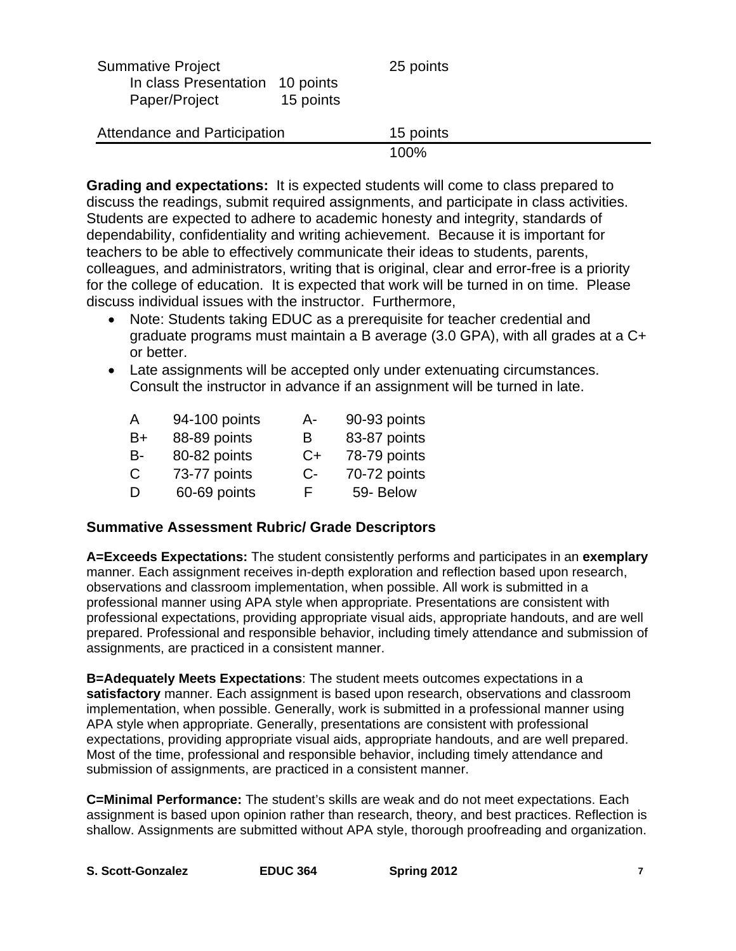| <b>Summative Project</b><br>In class Presentation<br>Paper/Project | 10 points<br>15 points | 25 points |
|--------------------------------------------------------------------|------------------------|-----------|
| Attendance and Participation                                       |                        | 15 points |
|                                                                    |                        | 100%      |

**Grading and expectations:** It is expected students will come to class prepared to discuss the readings, submit required assignments, and participate in class activities. Students are expected to adhere to academic honesty and integrity, standards of dependability, confidentiality and writing achievement. Because it is important for teachers to be able to effectively communicate their ideas to students, parents, colleagues, and administrators, writing that is original, clear and error-free is a priority for the college of education. It is expected that work will be turned in on time. Please discuss individual issues with the instructor. Furthermore,

- Note: Students taking EDUC as a prerequisite for teacher credential and graduate programs must maintain a B average (3.0 GPA), with all grades at a C+ or better.
- Late assignments will be accepted only under extenuating circumstances. Consult the instructor in advance if an assignment will be turned in late.

| 94-100 points | A-   | 90-93 points |
|---------------|------|--------------|
| 88-89 points  | В    | 83-87 points |
| 80-82 points  | C+   | 78-79 points |
| 73-77 points  | $C-$ | 70-72 points |
| 60-69 points  | F.   | 59- Below    |
|               |      |              |

## **Summative Assessment Rubric/ Grade Descriptors**

**A=Exceeds Expectations:** The student consistently performs and participates in an **exemplary**  manner. Each assignment receives in-depth exploration and reflection based upon research, observations and classroom implementation, when possible. All work is submitted in a professional manner using APA style when appropriate. Presentations are consistent with professional expectations, providing appropriate visual aids, appropriate handouts, and are well prepared. Professional and responsible behavior, including timely attendance and submission of assignments, are practiced in a consistent manner.

**B=Adequately Meets Expectations**: The student meets outcomes expectations in a **satisfactory** manner. Each assignment is based upon research, observations and classroom implementation, when possible. Generally, work is submitted in a professional manner using APA style when appropriate. Generally, presentations are consistent with professional expectations, providing appropriate visual aids, appropriate handouts, and are well prepared. Most of the time, professional and responsible behavior, including timely attendance and submission of assignments, are practiced in a consistent manner.

**C=Minimal Performance:** The student's skills are weak and do not meet expectations. Each assignment is based upon opinion rather than research, theory, and best practices. Reflection is shallow. Assignments are submitted without APA style, thorough proofreading and organization.

| S. Scott-Gonzalez | <b>EDUC 364</b> | Spring 2012 |  |
|-------------------|-----------------|-------------|--|
|-------------------|-----------------|-------------|--|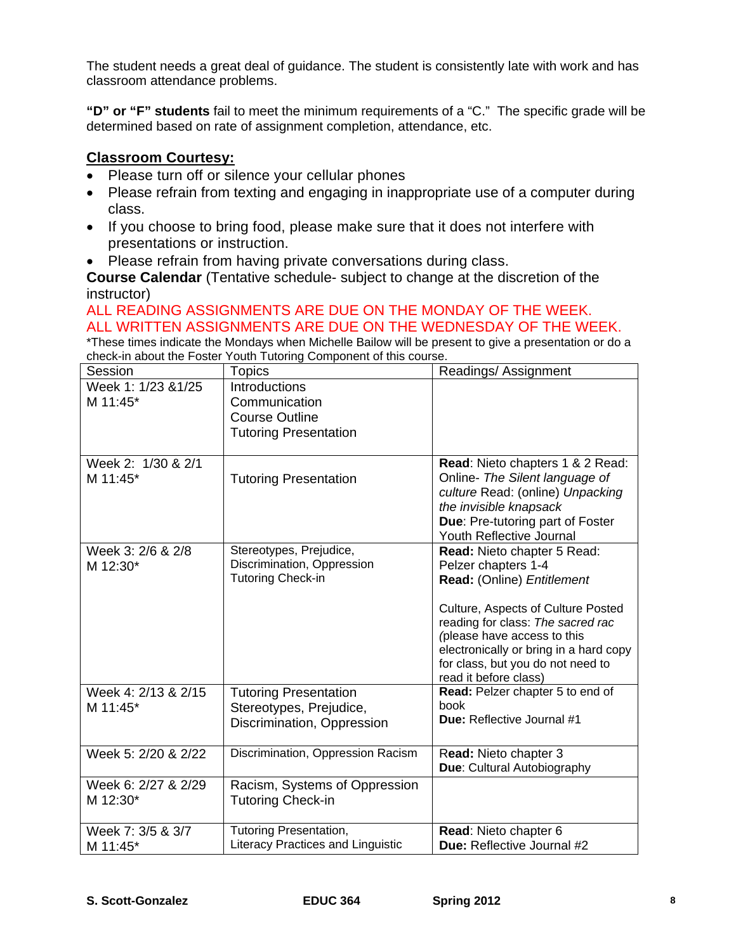The student needs a great deal of guidance. The student is consistently late with work and has classroom attendance problems.

**"D" or "F" students** fail to meet the minimum requirements of a "C." The specific grade will be determined based on rate of assignment completion, attendance, etc.

## **Classroom Courtesy:**

- Please turn off or silence your cellular phones
- Please refrain from texting and engaging in inappropriate use of a computer during class.
- If you choose to bring food, please make sure that it does not interfere with presentations or instruction.
- Please refrain from having private conversations during class.

**Course Calendar** (Tentative schedule- subject to change at the discretion of the instructor)

#### ALL READING ASSIGNMENTS ARE DUE ON THE MONDAY OF THE WEEK. ALL WRITTEN ASSIGNMENTS ARE DUE ON THE WEDNESDAY OF THE WEEK.

\*These times indicate the Mondays when Michelle Bailow will be present to give a presentation or do a check-in about the Foster Youth Tutoring Component of this course.

| Session             | <b>Topics</b>                                                      | Readings/ Assignment                                       |
|---------------------|--------------------------------------------------------------------|------------------------------------------------------------|
| Week 1: 1/23 & 1/25 | Introductions                                                      |                                                            |
| M 11:45*            | Communication                                                      |                                                            |
|                     | <b>Course Outline</b>                                              |                                                            |
|                     | <b>Tutoring Presentation</b>                                       |                                                            |
| Week 2: 1/30 & 2/1  |                                                                    | Read: Nieto chapters 1 & 2 Read:                           |
| M 11:45*            | <b>Tutoring Presentation</b>                                       | Online- The Silent language of                             |
|                     |                                                                    | culture Read: (online) Unpacking                           |
|                     |                                                                    | the invisible knapsack                                     |
|                     |                                                                    | Due: Pre-tutoring part of Foster                           |
| Week 3: 2/6 & 2/8   |                                                                    | Youth Reflective Journal                                   |
| M 12:30*            | Stereotypes, Prejudice,<br>Discrimination, Oppression              | Read: Nieto chapter 5 Read:<br>Pelzer chapters 1-4         |
|                     | <b>Tutoring Check-in</b>                                           | Read: (Online) Entitlement                                 |
|                     |                                                                    |                                                            |
|                     |                                                                    | Culture, Aspects of Culture Posted                         |
|                     |                                                                    | reading for class: The sacred rac                          |
|                     |                                                                    | (please have access to this                                |
|                     |                                                                    | electronically or bring in a hard copy                     |
|                     |                                                                    | for class, but you do not need to<br>read it before class) |
| Week 4: 2/13 & 2/15 | <b>Tutoring Presentation</b>                                       | Read: Pelzer chapter 5 to end of                           |
| M 11:45*            | Stereotypes, Prejudice,                                            | book                                                       |
|                     | Discrimination, Oppression                                         | Due: Reflective Journal #1                                 |
|                     |                                                                    |                                                            |
| Week 5: 2/20 & 2/22 | Discrimination, Oppression Racism                                  | Read: Nieto chapter 3                                      |
|                     |                                                                    | Due: Cultural Autobiography                                |
| Week 6: 2/27 & 2/29 | Racism, Systems of Oppression                                      |                                                            |
| M 12:30*            | <b>Tutoring Check-in</b>                                           |                                                            |
|                     |                                                                    |                                                            |
| Week 7: 3/5 & 3/7   | <b>Tutoring Presentation,</b><br>Literacy Practices and Linguistic | Read: Nieto chapter 6<br><b>Due: Reflective Journal #2</b> |
| M 11:45*            |                                                                    |                                                            |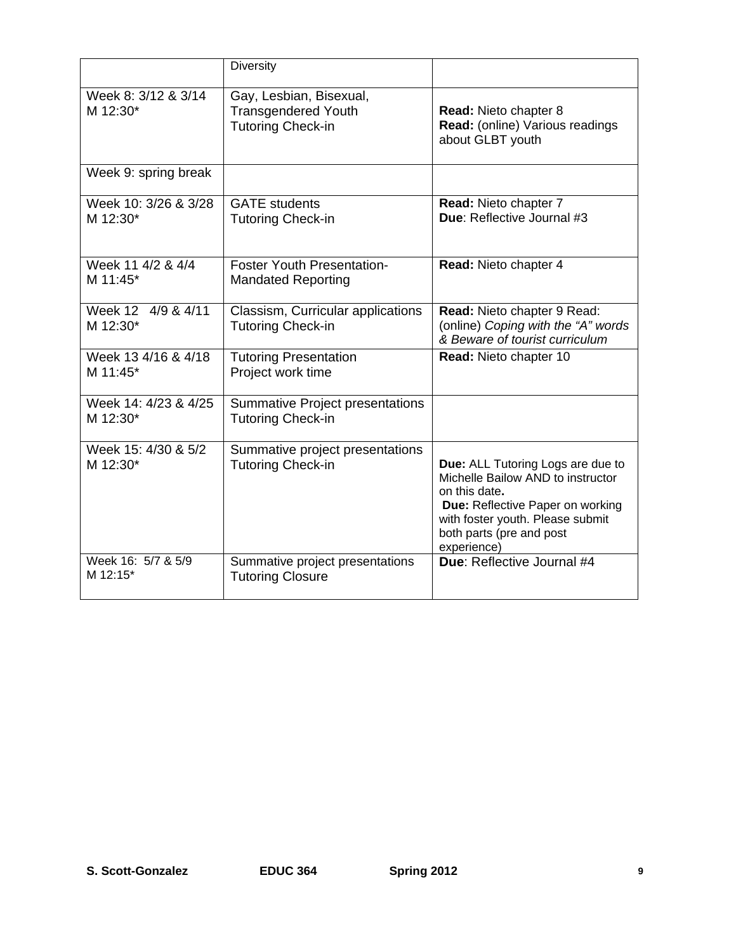|                                  | <b>Diversity</b>                                                                  |                                                                                                                                                                                                            |
|----------------------------------|-----------------------------------------------------------------------------------|------------------------------------------------------------------------------------------------------------------------------------------------------------------------------------------------------------|
| Week 8: 3/12 & 3/14<br>M 12:30*  | Gay, Lesbian, Bisexual,<br><b>Transgendered Youth</b><br><b>Tutoring Check-in</b> | <b>Read: Nieto chapter 8</b><br>Read: (online) Various readings<br>about GLBT youth                                                                                                                        |
| Week 9: spring break             |                                                                                   |                                                                                                                                                                                                            |
| Week 10: 3/26 & 3/28<br>M 12:30* | <b>GATE</b> students<br><b>Tutoring Check-in</b>                                  | Read: Nieto chapter 7<br>Due: Reflective Journal #3                                                                                                                                                        |
| Week 11 4/2 & 4/4<br>M 11:45*    | <b>Foster Youth Presentation-</b><br><b>Mandated Reporting</b>                    | Read: Nieto chapter 4                                                                                                                                                                                      |
| Week 12 4/9 & 4/11<br>M 12:30*   | Classism, Curricular applications<br><b>Tutoring Check-in</b>                     | Read: Nieto chapter 9 Read:<br>(online) Coping with the "A" words<br>& Beware of tourist curriculum                                                                                                        |
| Week 13 4/16 & 4/18<br>M 11:45*  | <b>Tutoring Presentation</b><br>Project work time                                 | Read: Nieto chapter 10                                                                                                                                                                                     |
| Week 14: 4/23 & 4/25<br>M 12:30* | <b>Summative Project presentations</b><br><b>Tutoring Check-in</b>                |                                                                                                                                                                                                            |
| Week 15: 4/30 & 5/2<br>M 12:30*  | Summative project presentations<br><b>Tutoring Check-in</b>                       | Due: ALL Tutoring Logs are due to<br>Michelle Bailow AND to instructor<br>on this date.<br>Due: Reflective Paper on working<br>with foster youth. Please submit<br>both parts (pre and post<br>experience) |
| Week 16: 5/7 & 5/9<br>M 12:15*   | Summative project presentations<br><b>Tutoring Closure</b>                        | Due: Reflective Journal #4                                                                                                                                                                                 |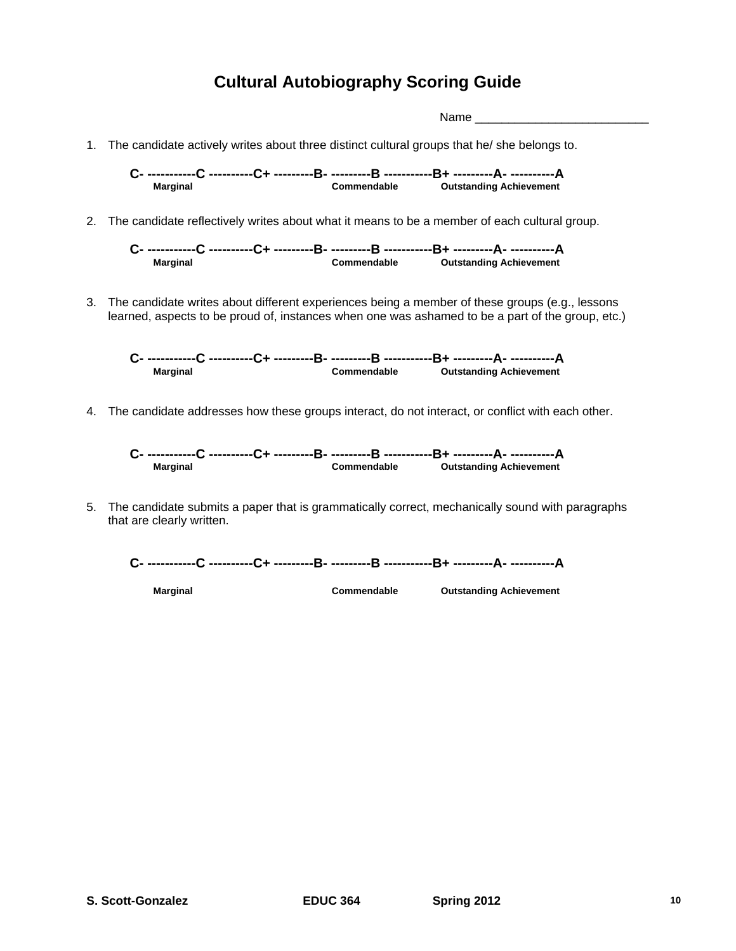## **Cultural Autobiography Scoring Guide**

Name  $\Box$ 1. The candidate actively writes about three distinct cultural groups that he/ she belongs to. **C- -----------C ----------C+ ---------B- ---------B -----------B+ ---------A- ----------A Marginal Commendable Outstanding Achievement** 

2. The candidate reflectively writes about what it means to be a member of each cultural group.

**C- -----------C ----------C+ ---------B- ---------B -----------B+ ---------A- ----------A Marginal Commendable Outstanding Achievement** 

3. The candidate writes about different experiences being a member of these groups (e.g., lessons learned, aspects to be proud of, instances when one was ashamed to be a part of the group, etc.)

**C- -----------C ----------C+ ---------B- ---------B -----------B+ ---------A- ----------A Marginal Commendable Outstanding Achievement** 

4. The candidate addresses how these groups interact, do not interact, or conflict with each other.

**C- -----------C ----------C+ ---------B- ---------B -----------B+ ---------A- ----------A Marginal Commendable Outstanding Achievement** 

5. The candidate submits a paper that is grammatically correct, mechanically sound with paragraphs that are clearly written.



**Marginal Commendable Outstanding Achievement** 

**S. Scott-Gonzalez EDUC 364 Spring 2012 10**